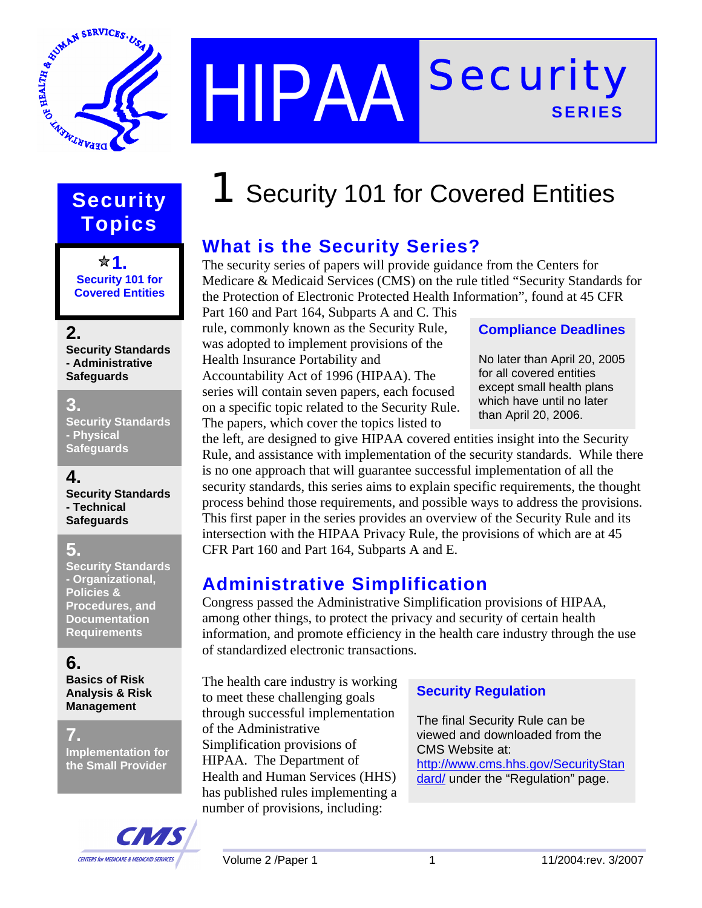

## HIPAA Security **SERIES**

# **Topics**

**1. Security 101 for Covered Entities** 

### **2.**

**Security Standards - Administrative Safeguards** 

### **3.**

**Security Standards - Physical Safeguards**

### **4.**

**Security Standards - Technical Safeguards**

### **5.**

**Security Standards - Organizational, Policies & Procedures, and Documentation Requirements** 

### **6.**

**Basics of Risk Analysis & Risk Management** 

#### **7.**

**Implementation for the Small Provider** 



## **Security 1** Security 101 for Covered Entities

### **What is the Security Series?**

The security series of papers will provide guidance from the Centers for Medicare & Medicaid Services (CMS) on the rule titled "Security Standards for the Protection of Electronic Protected Health Information", found at 45 CFR

Part 160 and Part 164, Subparts A and C. This rule, commonly known as the Security Rule, was adopted to implement provisions of the Health Insurance Portability and Accountability Act of 1996 (HIPAA). The series will contain seven papers, each focused on a specific topic related to the Security Rule. The papers, which cover the topics listed to

### **Compliance Deadlines**

No later than April 20, 2005 for all covered entities except small health plans which have until no later than April 20, 2006.

the left, are designed to give HIPAA covered entities insight into the Security Rule, and assistance with implementation of the security standards. While there is no one approach that will guarantee successful implementation of all the security standards, this series aims to explain specific requirements, the thought process behind those requirements, and possible ways to address the provisions. This first paper in the series provides an overview of the Security Rule and its intersection with the HIPAA Privacy Rule, the provisions of which are at 45 CFR Part 160 and Part 164, Subparts A and E.

### **Administrative Simplification**

Congress passed the Administrative Simplification provisions of HIPAA, among other things, to protect the privacy and security of certain health information, and promote efficiency in the health care industry through the use of standardized electronic transactions.

The health care industry is working to meet these challenging goals through successful implementation of the Administrative Simplification provisions of HIPAA. The Department of Health and Human Services (HHS) has published rules implementing a number of provisions, including:

### **Security Regulation**

The final Security Rule can be viewed and downloaded from the CMS Website at: http://www.cms.hhs.gov/SecurityStan dard/ under the "Regulation" page.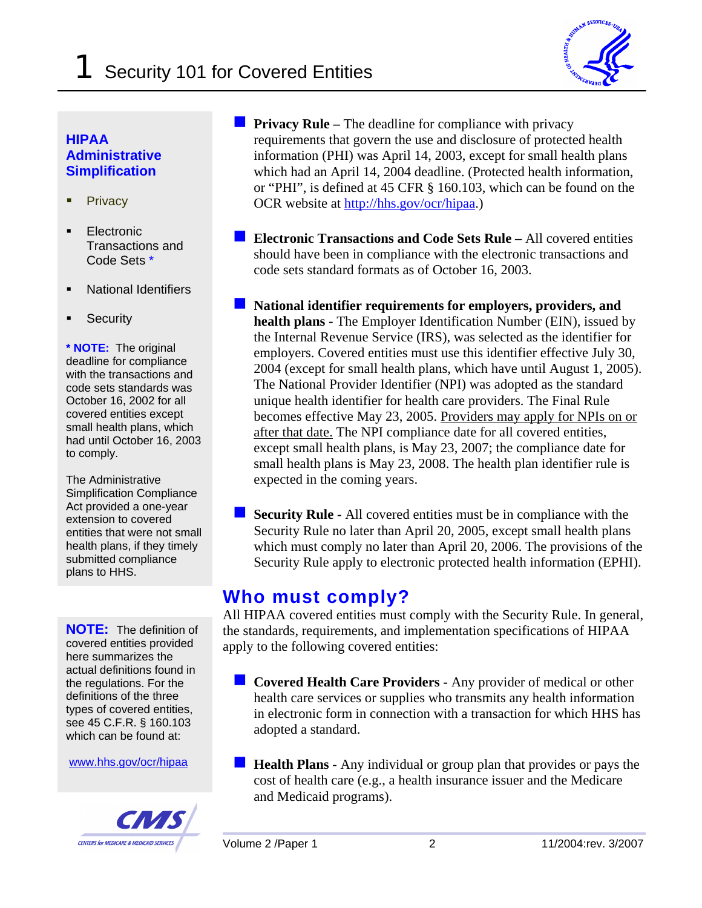

#### **HIPAA Administrative Simplification**

- -**Privacy**
- - Electronic Transactions and Code Sets \*
- -National Identifiers
- -**Security**

**\* NOTE:** The original deadline for compliance with the transactions and code sets standards was October 16, 2002 for all covered entities except small health plans, which had until October 16, 2003 to comply.

The Administrative Simplification Compliance Act provided a one-year extension to covered entities that were not small health plans, if they timely submitted compliance plans to HHS.

**NOTE:** The definition of covered entities provided here summarizes the actual definitions found in the regulations. For the definitions of the three types of covered entities, see 45 C.F.R. § 160.103 which can be found at:

www.hhs.gov/ocr/hipaa



**Privacy Rule – The deadline for compliance with privacy** requirements that govern the use and disclosure of protected health information (PHI) was April 14, 2003, except for small health plans which had an April 14, 2004 deadline. (Protected health information, or "PHI", is defined at 45 CFR § 160.103, which can be found on the OCR website at<http://hhs.gov/ocr/hipaa>.)

- **Electronic Transactions and Code Sets Rule –** All covered entities should have been in compliance with the electronic transactions and code sets standard formats as of October 16, 2003.
- **National identifier requirements for employers, providers, and health plans -** The Employer Identification Number (EIN), issued by the Internal Revenue Service (IRS), was selected as the identifier for employers. Covered entities must use this identifier effective July 30, 2004 (except for small health plans, which have until August 1, 2005). The National Provider Identifier (NPI) was adopted as the standard unique health identifier for health care providers. The Final Rule becomes effective May 23, 2005. Providers may apply for NPIs on or after that date. The NPI compliance date for all covered entities, except small health plans, is May 23, 2007; the compliance date for small health plans is May 23, 2008. The health plan identifier rule is expected in the coming years.
- **Security Rule -** All covered entities must be in compliance with the Security Rule no later than April 20, 2005, except small health plans which must comply no later than April 20, 2006. The provisions of the Security Rule apply to electronic protected health information (EPHI).

### **Who must comply?**

All HIPAA covered entities must comply with the Security Rule. In general, the standards, requirements, and implementation specifications of HIPAA apply to the following covered entities:

- **Covered Health Care Providers -** Any provider of medical or other health care services or supplies who transmits any health information in electronic form in connection with a transaction for which HHS has adopted a standard.
- **Health Plans** Any individual or group plan that provides or pays the cost of health care (e.g., a health insurance issuer and the Medicare and Medicaid programs).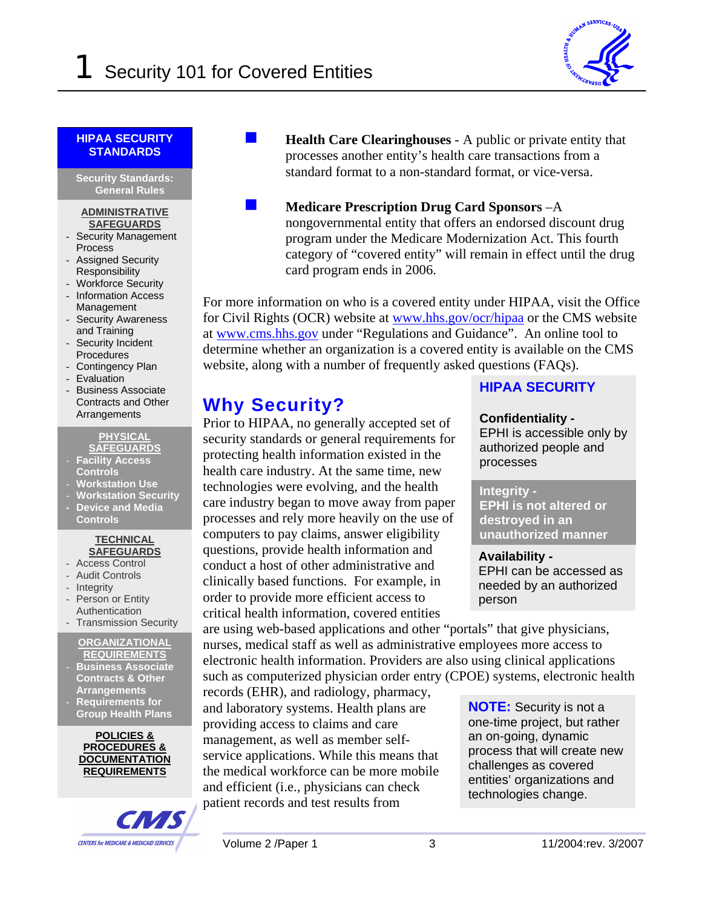

#### **HIPAA SECURITY STANDARDS**

**Security Standards: General Rules**

#### **ADMINISTRATIVE SAFEGUARDS**

- Security Management Process
- Assigned Security Responsibility
- Workforce Security
- Information Access Management
- Security Awareness and Training
- Security Incident **Procedures**
- Contingency Plan
- Evaluation
- Business Associate Contracts and Other Arrangements

**PHYSICAL SAFEGUARDS**

- **Facility Access Controls**
- 
- **Workstation Use**  - **Workstation Security**
- **- Device and Media Controls**

#### **TECHNICAL SAFEGUARDS**

- Access Control
- Audit Controls
- Integrity
- Person or Entity
- Authentication
- Transmission Security

#### **ORGANIZATIONAL REQUIREMENTS**

- **Business Associate Contracts & Other Arrangements**
- **Requirements for Group Health Plans**

**POLICIES & PROCEDURES & DOCUMENTATION REQUIREMENTS**



- **Health Care Clearinghouses** A public or private entity that processes another entity's health care transactions from a standard format to a non-standard format, or vice-versa.
	- **Medicare Prescription Drug Card Sponsors** –A nongovernmental entity that offers an endorsed discount drug program under the Medicare Modernization Act. This fourth category of "covered entity" will remain in effect until the drug card program ends in 2006.

For more information on who is a covered entity under HIPAA, visit the Office for Civil Rights (OCR) website at [www.hhs.gov/ocr/hipaa](http://www.hhs.gov/ocr/hipaa) or the CMS website at [www.cms.hhs.go](http://www.cms.hhs.gov/)v under "Regulations and Guidance". An online tool to determine whether an organization is a covered entity is available on the CMS website, along with a number of frequently asked questions (FAQs).

### **Why Security?**

Prior to HIPAA, no generally accepted set of security standards or general requirements for protecting health information existed in the health care industry. At the same time, new technologies were evolving, and the health care industry began to move away from paper processes and rely more heavily on the use of computers to pay claims, answer eligibility questions, provide health information and conduct a host of other administrative and clinically based functions. For example, in order to provide more efficient access to critical health information, covered entities

are using web-based applications and other "portals" that give physicians, nurses, medical staff as well as administrative employees more access to electronic health information. Providers are also using clinical applications such as computerized physician order entry (CPOE) systems, electronic health

records (EHR), and radiology, pharmacy, and laboratory systems. Health plans are providing access to claims and care management, as well as member selfservice applications. While this means that the medical workforce can be more mobile and efficient (i.e., physicians can check patient records and test results from

#### **HIPAA SECURITY**

#### **Confidentiality -**

EPHI is accessible only by authorized people and processes

#### **Integrity -**

**EPHI is not altered or destroyed in an unauthorized manner**

**Availability -**  EPHI can be accessed as needed by an authorized person

**NOTE:** Security is not a one-time project, but rather an on-going, dynamic process that will create new challenges as covered entities' organizations and technologies change.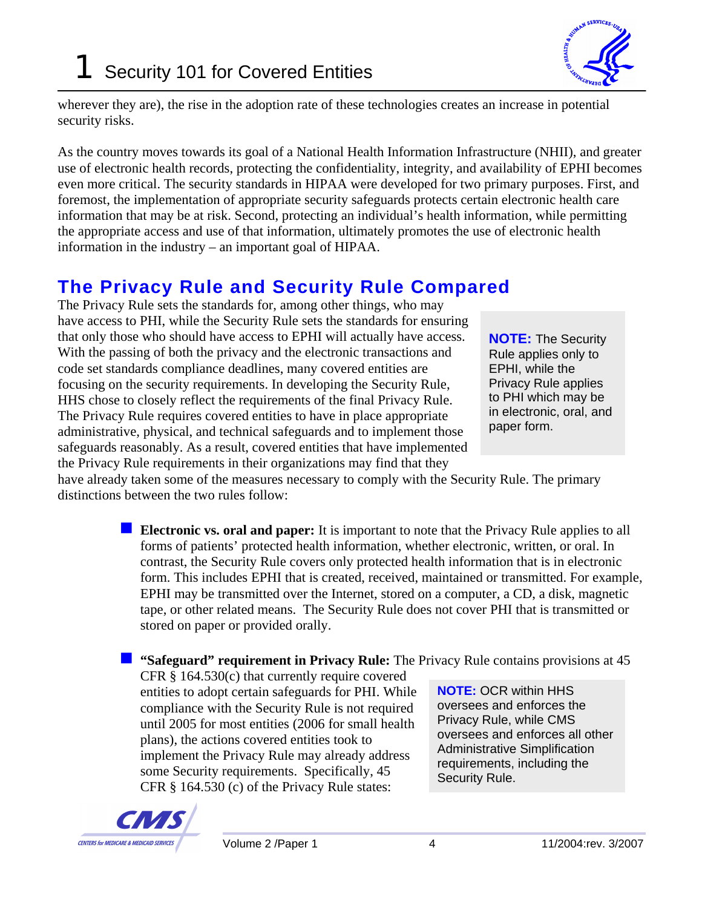

wherever they are), the rise in the adoption rate of these technologies creates an increase in potential security risks.

As the country moves towards its goal of a National Health Information Infrastructure (NHII), and greater use of electronic health records, protecting the confidentiality, integrity, and availability of EPHI becomes even more critical. The security standards in HIPAA were developed for two primary purposes. First, and foremost, the implementation of appropriate security safeguards protects certain electronic health care information that may be at risk. Second, protecting an individual's health information, while permitting the appropriate access and use of that information, ultimately promotes the use of electronic health information in the industry – an important goal of HIPAA.

### **The Privacy Rule and Security Rule Compared**

The Privacy Rule sets the standards for, among other things, who may have access to PHI, while the Security Rule sets the standards for ensuring that only those who should have access to EPHI will actually have access. With the passing of both the privacy and the electronic transactions and code set standards compliance deadlines, many covered entities are focusing on the security requirements. In developing the Security Rule, HHS chose to closely reflect the requirements of the final Privacy Rule. The Privacy Rule requires covered entities to have in place appropriate administrative, physical, and technical safeguards and to implement those safeguards reasonably. As a result, covered entities that have implemented the Privacy Rule requirements in their organizations may find that they

**NOTE:** The Security Rule applies only to EPHI, while the Privacy Rule applies to PHI which may be in electronic, oral, and paper form.

have already taken some of the measures necessary to comply with the Security Rule. The primary distinctions between the two rules follow:

> **Electronic vs. oral and paper:** It is important to note that the Privacy Rule applies to all forms of patients' protected health information, whether electronic, written, or oral. In contrast, the Security Rule covers only protected health information that is in electronic form. This includes EPHI that is created, received, maintained or transmitted. For example, EPHI may be transmitted over the Internet, stored on a computer, a CD, a disk, magnetic tape, or other related means. The Security Rule does not cover PHI that is transmitted or stored on paper or provided orally.

#### **"** "Safeguard" requirement in Privacy Rule: The Privacy Rule contains provisions at 45

CFR § 164.530(c) that currently require covered entities to adopt certain safeguards for PHI. While compliance with the Security Rule is not required until 2005 for most entities (2006 for small health plans), the actions covered entities took to implement the Privacy Rule may already address some Security requirements. Specifically, 45 CFR § 164.530 (c) of the Privacy Rule states:

**NOTE:** OCR within HHS oversees and enforces the Privacy Rule, while CMS oversees and enforces all other Administrative Simplification requirements, including the Security Rule.

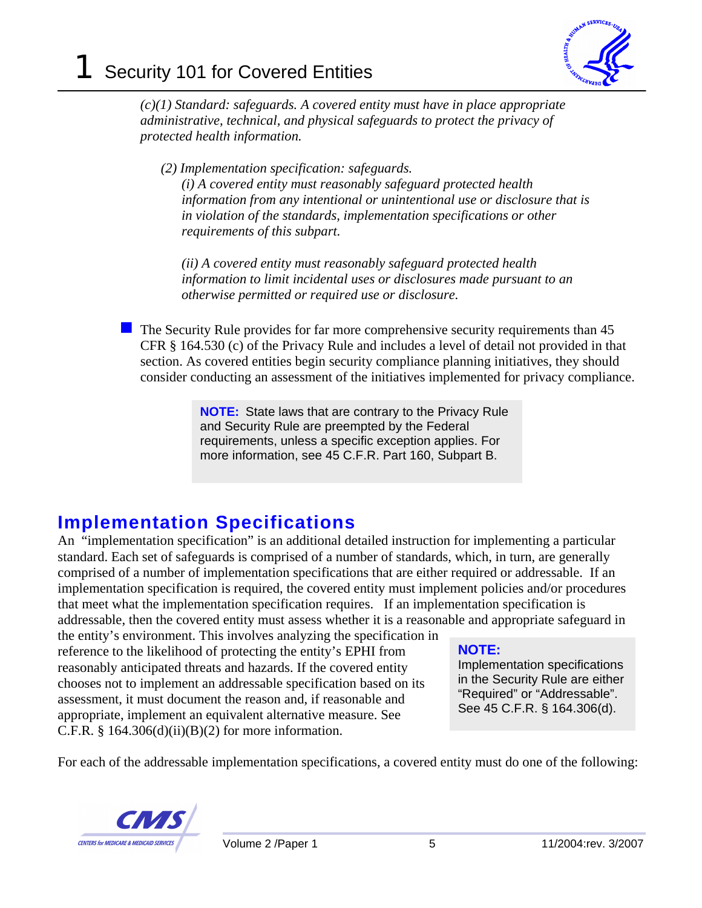

*(c)(1) Standard: safeguards. A covered entity must have in place appropriate administrative, technical, and physical safeguards to protect the privacy of protected health information.* 

*(2) Implementation specification: safeguards.* 

*(i) A covered entity must reasonably safeguard protected health information from any intentional or unintentional use or disclosure that is in violation of the standards, implementation specifications or other requirements of this subpart.* 

*(ii) A covered entity must reasonably safeguard protected health information to limit incidental uses or disclosures made pursuant to an otherwise permitted or required use or disclosure.* 

 The Security Rule provides for far more comprehensive security requirements than 45 CFR § 164.530 (c) of the Privacy Rule and includes a level of detail not provided in that section. As covered entities begin security compliance planning initiatives, they should consider conducting an assessment of the initiatives implemented for privacy compliance.

> **NOTE:** State laws that are contrary to the Privacy Rule and Security Rule are preempted by the Federal requirements, unless a specific exception applies. For more information, see 45 C.F.R. Part 160, Subpart B.

### **Implementation Specifications**

An "implementation specification" is an additional detailed instruction for implementing a particular standard. Each set of safeguards is comprised of a number of standards, which, in turn, are generally comprised of a number of implementation specifications that are either required or addressable. If an implementation specification is required, the covered entity must implement policies and/or procedures that meet what the implementation specification requires. If an implementation specification is addressable, then the covered entity must assess whether it is a reasonable and appropriate safeguard in

the entity's environment. This involves analyzing the specification in reference to the likelihood of protecting the entity's EPHI from reasonably anticipated threats and hazards. If the covered entity chooses not to implement an addressable specification based on its assessment, it must document the reason and, if reasonable and appropriate, implement an equivalent alternative measure. See C.F.R.  $§$  164.306(d)(ii)(B)(2) for more information.

### **NOTE:**

Implementation specifications in the Security Rule are either "Required" or "Addressable". See 45 C.F.R. § 164.306(d).

For each of the addressable implementation specifications, a covered entity must do one of the following:

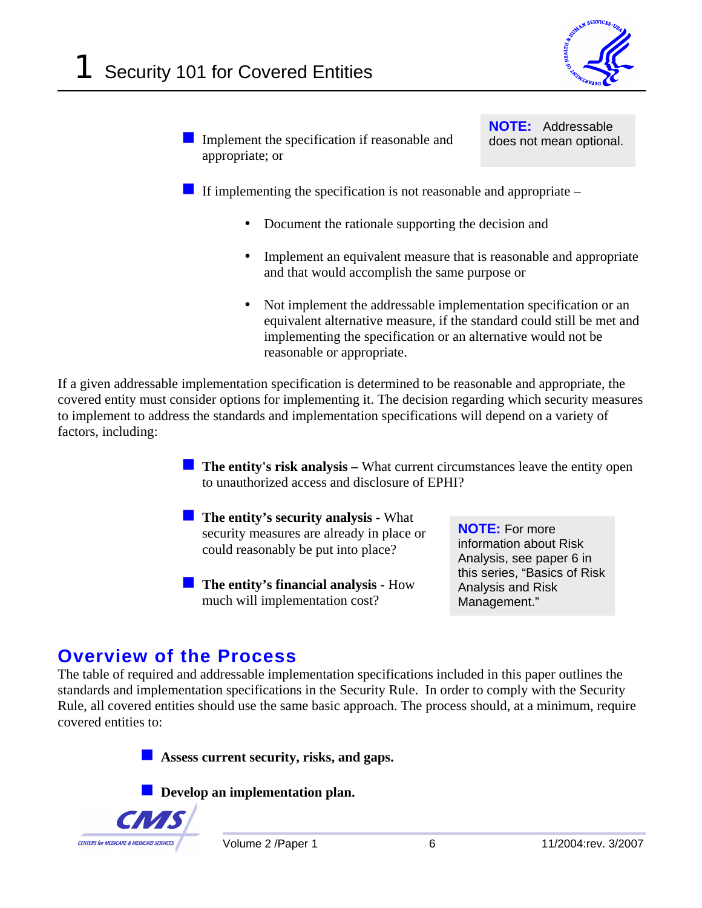

Implement the specification if reasonable and appropriate; or

**NOTE:** Addressable does not mean optional.

If implementing the specification is not reasonable and appropriate  $-$ 

- Document the rationale supporting the decision and
- Implement an equivalent measure that is reasonable and appropriate and that would accomplish the same purpose or
- Not implement the addressable implementation specification or an equivalent alternative measure, if the standard could still be met and implementing the specification or an alternative would not be reasonable or appropriate.

If a given addressable implementation specification is determined to be reasonable and appropriate, the covered entity must consider options for implementing it. The decision regarding which security measures to implement to address the standards and implementation specifications will depend on a variety of factors, including:

> **The entity's risk analysis –** What current circumstances leave the entity open to unauthorized access and disclosure of EPHI?

- **The entity's security analysis What** security measures are already in place or could reasonably be put into place?
- **The entity's financial analysis How** much will implementation cost?

**NOTE:** For more information about Risk Analysis, see paper 6 in this series, "Basics of Risk Analysis and Risk Management."

### **Overview of the Process**

The table of required and addressable implementation specifications included in this paper outlines the standards and implementation specifications in the Security Rule. In order to comply with the Security Rule, all covered entities should use the same basic approach. The process should, at a minimum, require covered entities to:

**Assess current security, risks, and gaps.** 

**Develop an implementation plan.** 

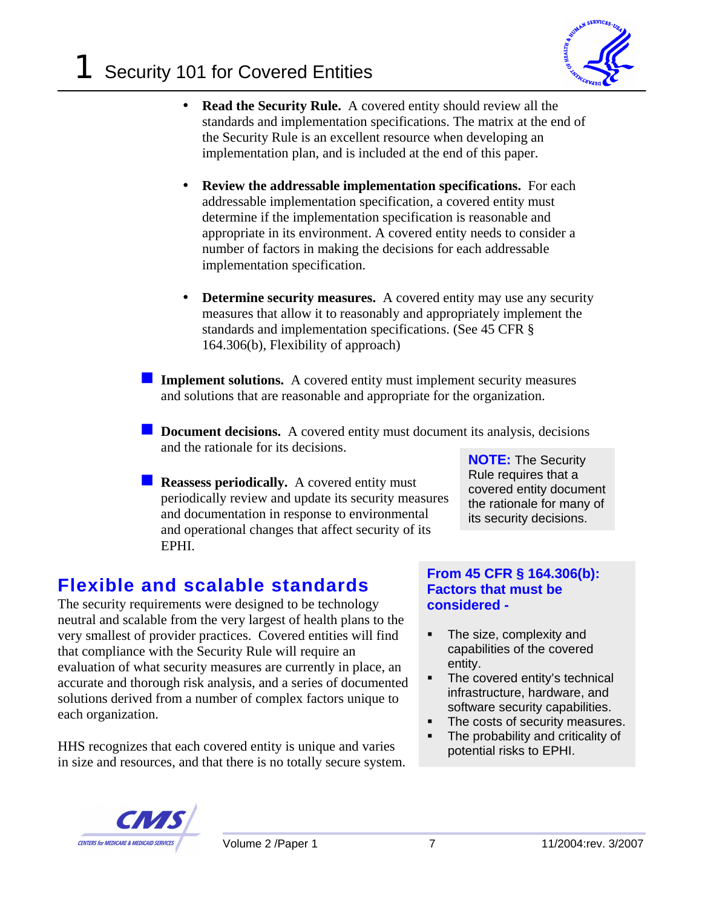

- **Read the Security Rule.** A covered entity should review all the standards and implementation specifications. The matrix at the end of the Security Rule is an excellent resource when developing an implementation plan, and is included at the end of this paper.
- **Review the addressable implementation specifications.** For each addressable implementation specification, a covered entity must determine if the implementation specification is reasonable and appropriate in its environment. A covered entity needs to consider a number of factors in making the decisions for each addressable implementation specification.
- **Determine security measures.** A covered entity may use any security measures that allow it to reasonably and appropriately implement the standards and implementation specifications. (See 45 CFR § 164.306(b), Flexibility of approach)
- **Implement solutions.** A covered entity must implement security measures and solutions that are reasonable and appropriate for the organization.
- **Document decisions.** A covered entity must document its analysis, decisions and the rationale for its decisions.
	- **Reassess periodically.** A covered entity must periodically review and update its security measures and documentation in response to environmental and operational changes that affect security of its EPHI.

**NOTE:** The Security Rule requires that a covered entity document the rationale for many of its security decisions.

### **Flexible and scalable standards**

The security requirements were designed to be technology neutral and scalable from the very largest of health plans to the very smallest of provider practices. Covered entities will find that compliance with the Security Rule will require an evaluation of what security measures are currently in place, an accurate and thorough risk analysis, and a series of documented solutions derived from a number of complex factors unique to each organization.

HHS recognizes that each covered entity is unique and varies in size and resources, and that there is no totally secure system.

#### **From 45 CFR § 164.306(b): Factors that must be considered -**

- - The size, complexity and capabilities of the covered entity.
- - The covered entity's technical infrastructure, hardware, and software security capabilities.
- -The costs of security measures.
- - The probability and criticality of potential risks to EPHI.

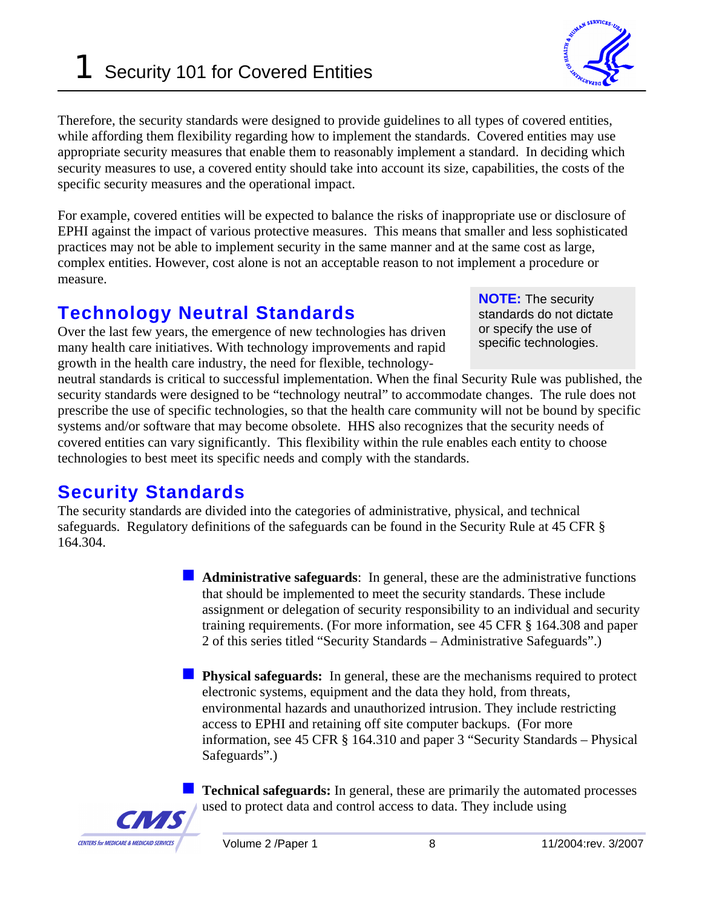Security 101 for Covered Entities

Therefore, the security standards were designed to provide guidelines to all types of covered entities, while affording them flexibility regarding how to implement the standards. Covered entities may use appropriate security measures that enable them to reasonably implement a standard. In deciding which security measures to use, a covered entity should take into account its size, capabilities, the costs of the specific security measures and the operational impact.

For example, covered entities will be expected to balance the risks of inappropriate use or disclosure of EPHI against the impact of various protective measures. This means that smaller and less sophisticated practices may not be able to implement security in the same manner and at the same cost as large, complex entities. However, cost alone is not an acceptable reason to not implement a procedure or measure.

### **Technology Neutral Standards**

Over the last few years, the emergence of new technologies has driven many health care initiatives. With technology improvements and rapid growth in the health care industry, the need for flexible, technology-

neutral standards is critical to successful implementation. When the final Security Rule was published, the security standards were designed to be "technology neutral" to accommodate changes. The rule does not prescribe the use of specific technologies, so that the health care community will not be bound by specific systems and/or software that may become obsolete. HHS also recognizes that the security needs of covered entities can vary significantly. This flexibility within the rule enables each entity to choose technologies to best meet its specific needs and comply with the standards.

### **Security Standards**

**CAZ** 

**CENTERS for MEDICARE & MEDICAID SERVICES** 

The security standards are divided into the categories of administrative, physical, and technical safeguards. Regulatory definitions of the safeguards can be found in the Security Rule at 45 CFR § 164.304.

> **Administrative safeguards**: In general, these are the administrative functions that should be implemented to meet the security standards. These include assignment or delegation of security responsibility to an individual and security training requirements. (For more information, see 45 CFR § 164.308 and paper 2 of this series titled "Security Standards – Administrative Safeguards".)

> **Physical safeguards:** In general, these are the mechanisms required to protect electronic systems, equipment and the data they hold, from threats, environmental hazards and unauthorized intrusion. They include restricting access to EPHI and retaining off site computer backups. (For more information, see 45 CFR § 164.310 and paper 3 "Security Standards – Physical Safeguards".)

> **Technical safeguards:** In general, these are primarily the automated processes used to protect data and control access to data. They include using



**NOTE:** The security standards do not dictate or specify the use of specific technologies.

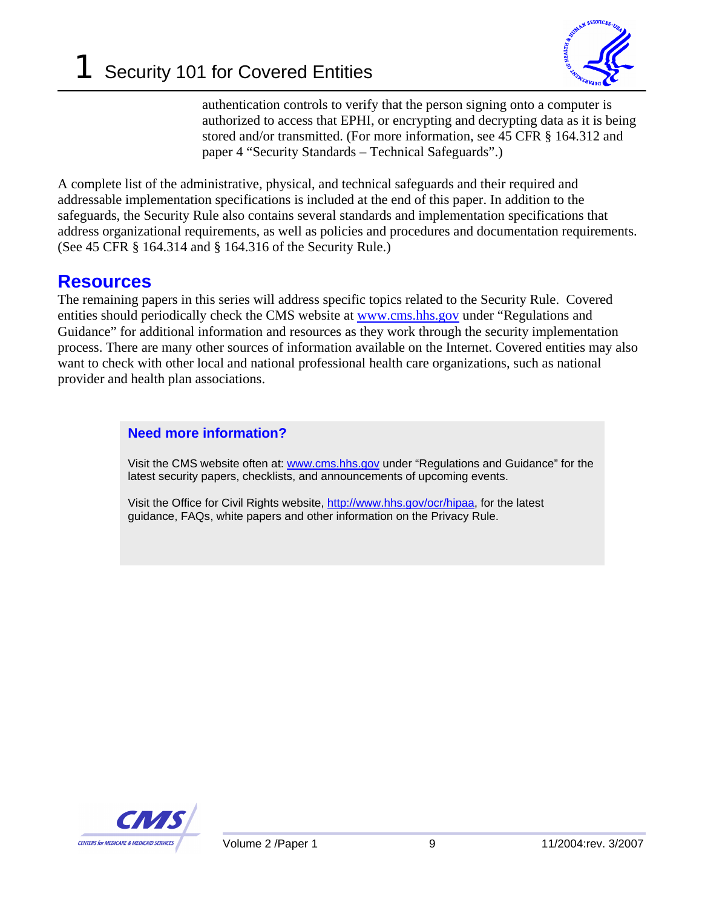

authentication controls to verify that the person signing onto a computer is authorized to access that EPHI, or encrypting and decrypting data as it is being stored and/or transmitted. (For more information, see 45 CFR § 164.312 and paper 4 "Security Standards – Technical Safeguards".)

A complete list of the administrative, physical, and technical safeguards and their required and addressable implementation specifications is included at the end of this paper. In addition to the safeguards, the Security Rule also contains several standards and implementation specifications that address organizational requirements, as well as policies and procedures and documentation requirements. (See 45 CFR § 164.314 and § 164.316 of the Security Rule.)

### **Resources**

The remaining papers in this series will address specific topics related to the Security Rule. Covered entities should periodically check the CMS website at [www.cms.hhs.go](http://www.cms.hhs.gov/)v under "Regulations and Guidance" for additional information and resources as they work through the security implementation process. There are many other sources of information available on the Internet. Covered entities may also want to check with other local and national professional health care organizations, such as national provider and health plan associations.

#### **Need more information?**

Visit the CMS website often at: www.cms.hhs.gov under "Regulations and Guidance" for the latest security papers, checklists, and announcements of upcoming events.

Visit the Office for Civil Rights website, http://www.hhs.gov/ocr/hipaa, for the latest guidance, FAQs, white papers and other information on the Privacy Rule.

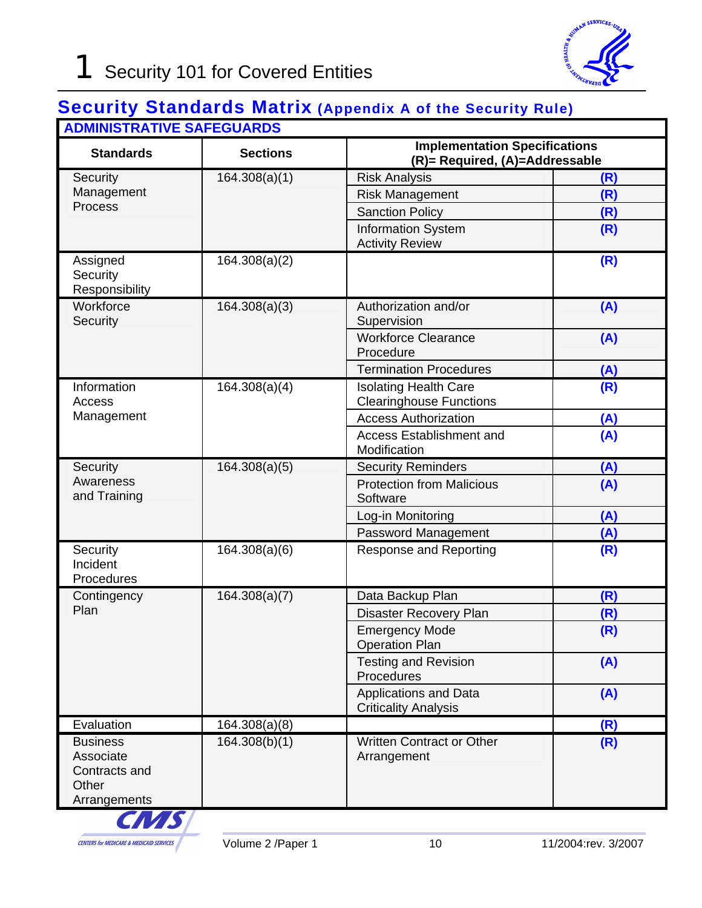### **Security Standards Matrix (Appendix A of the Security Rule) ADMINISTRATIVE SAFEGUARDS**

| ADIVINIJI INA ITVE JAI EGUANDJ<br><b>Standards</b>                     | <b>Sections</b>            | <b>Implementation Specifications</b><br>(R)= Required, (A)=Addressable |     |
|------------------------------------------------------------------------|----------------------------|------------------------------------------------------------------------|-----|
| Security                                                               | $\overline{16}4.308(a)(1)$ | <b>Risk Analysis</b>                                                   | (R) |
| Management<br>Process                                                  |                            | <b>Risk Management</b>                                                 | (R) |
|                                                                        |                            | <b>Sanction Policy</b>                                                 | (R) |
|                                                                        |                            | <b>Information System</b><br><b>Activity Review</b>                    | (R) |
| Assigned<br>Security<br>Responsibility                                 | 164.308(a)(2)              |                                                                        | (R) |
| Workforce<br>Security                                                  | 164.308(a)(3)              | Authorization and/or<br>Supervision                                    | (A) |
|                                                                        |                            | <b>Workforce Clearance</b><br>Procedure                                | (A) |
|                                                                        |                            | <b>Termination Procedures</b>                                          | (A) |
| Information<br>Access<br>Management                                    | 164.308(a)(4)              | <b>Isolating Health Care</b><br><b>Clearinghouse Functions</b>         | (R) |
|                                                                        |                            | <b>Access Authorization</b>                                            | (A) |
|                                                                        |                            | <b>Access Establishment and</b><br>Modification                        | (A) |
| Security                                                               | 164.308(a)(5)              | <b>Security Reminders</b>                                              | (A) |
| Awareness<br>and Training                                              |                            | <b>Protection from Malicious</b><br>Software                           | (A) |
|                                                                        |                            | Log-in Monitoring                                                      | (A) |
|                                                                        |                            | Password Management                                                    | (A) |
| Security<br>Incident<br>Procedures                                     | 164.308(a)(6)              | Response and Reporting                                                 | (R) |
| Contingency<br>Plan                                                    | 164.308(a)(7)              | Data Backup Plan                                                       | (R) |
|                                                                        |                            | <b>Disaster Recovery Plan</b>                                          | (R) |
|                                                                        |                            | <b>Emergency Mode</b><br><b>Operation Plan</b>                         | (R) |
|                                                                        |                            | <b>Testing and Revision</b><br>Procedures                              | (A) |
|                                                                        |                            | <b>Applications and Data</b><br><b>Criticality Analysis</b>            | (A) |
| Evaluation                                                             | 164.308(a)(8)              |                                                                        | (R) |
| <b>Business</b><br>Associate<br>Contracts and<br>Other<br>Arrangements | 164.308(b)(1)              | Written Contract or Other<br>Arrangement                               | (R) |